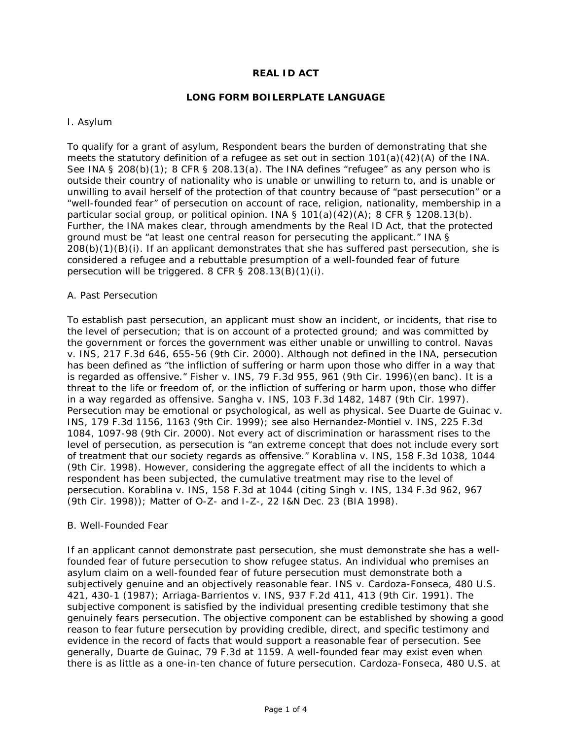# **REAL ID ACT**

### **LONG FORM BOILERPLATE LANGUAGE**

#### I. Asylum

To qualify for a grant of asylum, Respondent bears the burden of demonstrating that she meets the statutory definition of a refugee as set out in section  $101(a)(42)(A)$  of the INA. See INA § 208(b)(1); 8 CFR § 208.13(a). The INA defines "refugee" as any person who is outside their country of nationality who is unable or unwilling to return to, and is unable or unwilling to avail herself of the protection of that country because of "past persecution" or a "well-founded fear" of persecution on account of race, religion, nationality, membership in a particular social group, or political opinion. INA §  $101(a)(42)(A)$ ; 8 CFR §  $1208.13(b)$ . Further, the INA makes clear, through amendments by the Real ID Act, that the protected ground must be "at least one central reason for persecuting the applicant." INA § 208(b)(1)(B)(i). If an applicant demonstrates that she has suffered past persecution, she is considered a refugee and a rebuttable presumption of a well-founded fear of future persecution will be triggered. 8 CFR § 208.13(B)(1)(i).

#### A. Past Persecution

To establish past persecution, an applicant must show an incident, or incidents, that rise to the level of persecution; that is on account of a protected ground; and was committed by the government or forces the government was either unable or unwilling to control. *Navas v. INS*, 217 F.3d 646, 655-56 (9th Cir. 2000). Although not defined in the INA, persecution has been defined as "the infliction of suffering or harm upon those who differ in a way that is regarded as offensive." *Fisher v. INS*, 79 F.3d 955, 961 (9th Cir. 1996)(en banc). It is a threat to the life or freedom of, or the infliction of suffering or harm upon, those who differ in a way regarded as offensive. *Sangha v. INS*, 103 F.3d 1482, 1487 (9th Cir. 1997). Persecution may be emotional or psychological, as well as physical. See *Duarte de Guinac v. INS*, 179 F.3d 1156, 1163 (9th Cir. 1999); see also *Hernandez-Montiel v. INS*, 225 F.3d 1084, 1097-98 (9th Cir. 2000). Not every act of discrimination or harassment rises to the level of persecution, as persecution is "an extreme concept that does not include every sort of treatment that our society regards as offensive." *Korablina v. INS*, 158 F.3d 1038, 1044 (9th Cir. 1998). However, considering the aggregate effect of all the incidents to which a respondent has been subjected, the cumulative treatment may rise to the level of persecution. Korablina v. INS, 158 F.3d at 1044 (citing *Singh v. INS*, 134 F.3d 962, 967 (9th Cir. 1998)); *Matter of O-Z-* and *I-Z-*, 22 I&N Dec. 23 (BIA 1998).

#### B. Well-Founded Fear

If an applicant cannot demonstrate past persecution, she must demonstrate she has a wellfounded fear of future persecution to show refugee status. An individual who premises an asylum claim on a well-founded fear of future persecution must demonstrate both a subjectively genuine and an objectively reasonable fear. *INS v. Cardoza-Fonseca*, 480 U.S. 421, 430-1 (1987); *Arriaga-Barrientos v. INS*, 937 F.2d 411, 413 (9th Cir. 1991). The subjective component is satisfied by the individual presenting credible testimony that she genuinely fears persecution. The objective component can be established by showing a good reason to fear future persecution by providing credible, direct, and specific testimony and evidence in the record of facts that would support a reasonable fear of persecution. See generally, *Duarte de Guinac*, 79 F.3d at 1159. A well-founded fear may exist even when there is as little as a one-in-ten chance of future persecution. *Cardoza-Fonseca*, 480 U.S. at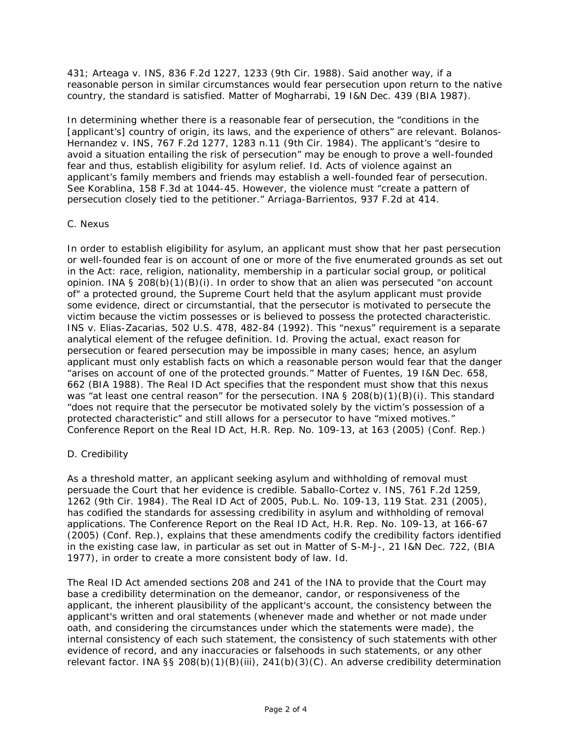431; *Arteaga v. INS*, 836 F.2d 1227, 1233 (9th Cir. 1988). Said another way, if a reasonable person in similar circumstances would fear persecution upon return to the native country, the standard is satisfied. Matter of Mogharrabi, 19 I&N Dec. 439 (BIA 1987).

In determining whether there is a reasonable fear of persecution, the "conditions in the [applicant's] country of origin, its laws, and the experience of others" are relevant. *Bolanos-Hernandez v. INS*, 767 F.2d 1277, 1283 n.11 (9th Cir. 1984). The applicant's "desire to avoid a situation entailing the risk of persecution" may be enough to prove a well-founded fear and thus, establish eligibility for asylum relief. *Id*. Acts of violence against an applicant's family members and friends may establish a well-founded fear of persecution. *See Korablina*, 158 F.3d at 1044-45. However, the violence must "create a pattern of persecution closely tied to the petitioner." *Arriaga-Barrientos*, 937 F.2d at 414.

### C. Nexus

In order to establish eligibility for asylum, an applicant must show that her past persecution or well-founded fear is on account of one or more of the five enumerated grounds as set out in the Act: race, religion, nationality, membership in a particular social group, or political opinion. INA § 208(b)(1)(B)(i). In order to show that an alien was persecuted "on account of" a protected ground, the Supreme Court held that the asylum applicant must provide some evidence, direct or circumstantial, that the persecutor is motivated to persecute the victim because the victim possesses or is believed to possess the protected characteristic. *INS v. Elias-Zacarias*, 502 U.S. 478, 482-84 (1992). This "nexus" requirement is a separate analytical element of the refugee definition. Id. Proving the actual, exact reason for persecution or feared persecution may be impossible in many cases; hence, an asylum applicant must only establish facts on which a reasonable person would fear that the danger "arises on account of one of the protected grounds." *Matter of Fuentes*, 19 I&N Dec. 658, 662 (BIA 1988). The Real ID Act specifies that the respondent must show that this nexus was "at least one central reason" for the persecution. INA  $\S$  208(b)(1)(B)(i). This standard "does not require that the persecutor be motivated solely by the victim's possession of a protected characteristic" and still allows for a persecutor to have "mixed motives." Conference Report on the Real ID Act, H.R. Rep. No. 109-13, at 163 (2005) (Conf. Rep.)

# D. Credibility

As a threshold matter, an applicant seeking asylum and withholding of removal must persuade the Court that her evidence is credible. *Saballo-Cortez v. INS*, 761 F.2d 1259, 1262 (9th Cir. 1984). The Real ID Act of 2005, Pub.L. No. 109-13, 119 Stat. 231 (2005), has codified the standards for assessing credibility in asylum and withholding of removal applications. The Conference Report on the Real ID Act, H.R. Rep. No. 109-13, at 166-67 (2005) (Conf. Rep.), explains that these amendments codify the credibility factors identified in the existing case law, in particular as set out in *Matter of S-M-J-*, 21 I&N Dec. 722, (BIA 1977), in order to create a more consistent body of law. *Id*.

The Real ID Act amended sections 208 and 241 of the INA to provide that the Court may base a credibility determination on the demeanor, candor, or responsiveness of the applicant, the inherent plausibility of the applicant's account, the consistency between the applicant's written and oral statements (whenever made and whether or not made under oath, and considering the circumstances under which the statements were made), the internal consistency of each such statement, the consistency of such statements with other evidence of record, and any inaccuracies or falsehoods in such statements, or any other relevant factor. INA §§ 208(b)(1)(B)(iii), 241(b)(3)(C). An adverse credibility determination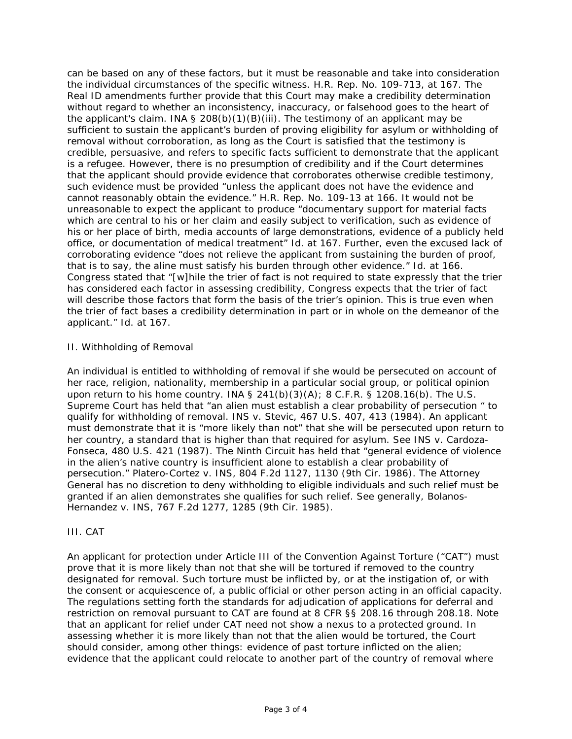can be based on any of these factors, but it must be reasonable and take into consideration the individual circumstances of the specific witness. H.R. Rep. No. 109-713, at 167. The Real ID amendments further provide that this Court may make a credibility determination without regard to whether an inconsistency, inaccuracy, or falsehood goes to the heart of the applicant's claim. INA § 208(b)(1)(B)(iii). The testimony of an applicant may be sufficient to sustain the applicant's burden of proving eligibility for asylum or withholding of removal without corroboration, as long as the Court is satisfied that the testimony is credible, persuasive, and refers to specific facts sufficient to demonstrate that the applicant is a refugee. However, there is no presumption of credibility and if the Court determines that the applicant should provide evidence that corroborates otherwise credible testimony, such evidence must be provided "unless the applicant does not have the evidence and cannot reasonably obtain the evidence." H.R. Rep. No. 109-13 at 166. It would not be unreasonable to expect the applicant to produce "documentary support for material facts which are central to his or her claim and easily subject to verification, such as evidence of his or her place of birth, media accounts of large demonstrations, evidence of a publicly held office, or documentation of medical treatment" Id. at 167. Further, even the excused lack of corroborating evidence "does not relieve the applicant from sustaining the burden of proof, that is to say, the aline must satisfy his burden through other evidence." *Id.* at 166. Congress stated that "[w]hile the trier of fact is not required to state expressly that the trier has considered each factor in assessing credibility, Congress expects that the trier of fact will describe those factors that form the basis of the trier's opinion. This is true even when the trier of fact bases a credibility determination in part or in whole on the demeanor of the applicant." *Id.* at 167.

# II. Withholding of Removal

An individual is entitled to withholding of removal if she would be persecuted on account of her race, religion, nationality, membership in a particular social group, or political opinion upon return to his home country. INA  $\S$  241(b)(3)(A); 8 C.F.R.  $\S$  1208.16(b). The U.S. Supreme Court has held that "an alien must establish a clear probability of persecution " to qualify for withholding of removal. *INS v. Stevic*, 467 U.S. 407, 413 (1984). An applicant must demonstrate that it is "more likely than not" that she will be persecuted upon return to her country, a standard that is higher than that required for asylum. See *INS v. Cardoza-Fonseca*, 480 U.S. 421 (1987). The Ninth Circuit has held that "general evidence of violence in the alien's native country is insufficient alone to establish a clear probability of persecution." *Platero-Cortez v. INS*, 804 F.2d 1127, 1130 (9th Cir. 1986). The Attorney General has no discretion to deny withholding to eligible individuals and such relief must be granted if an alien demonstrates she qualifies for such relief. See generally, *Bolanos-Hernandez v. INS*, 767 F.2d 1277, 1285 (9th Cir. 1985).

# III. CAT

An applicant for protection under Article III of the Convention Against Torture ("CAT") must prove that it is more likely than not that she will be tortured if removed to the country designated for removal. Such torture must be inflicted by, or at the instigation of, or with the consent or acquiescence of, a public official or other person acting in an official capacity. The regulations setting forth the standards for adjudication of applications for deferral and restriction on removal pursuant to CAT are found at 8 CFR §§ 208.16 through 208.18. Note that an applicant for relief under CAT need not show a nexus to a protected ground. In assessing whether it is more likely than not that the alien would be tortured, the Court should consider, among other things: evidence of past torture inflicted on the alien; evidence that the applicant could relocate to another part of the country of removal where